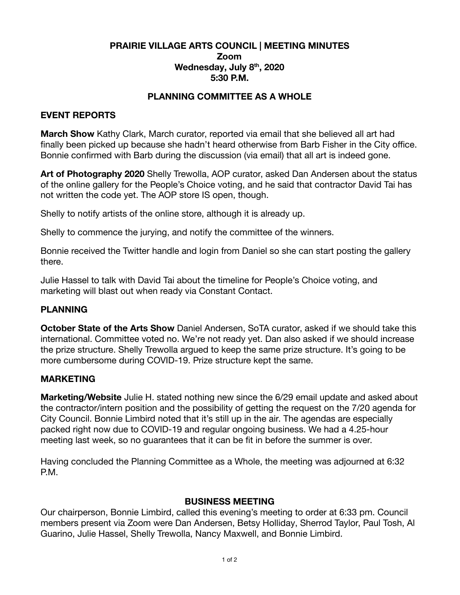### **PRAIRIE VILLAGE ARTS COUNCIL | MEETING MINUTES Zoom Wednesday, July 8 th , 2020 5:30 P.M.**

### **PLANNING COMMITTEE AS A WHOLE**

### **EVENT REPORTS**

**March Show** Kathy Clark, March curator, reported via email that she believed all art had finally been picked up because she hadn't heard otherwise from Barb Fisher in the City office. Bonnie confirmed with Barb during the discussion (via email) that all art is indeed gone.

**Art of Photography 2020** Shelly Trewolla, AOP curator, asked Dan Andersen about the status of the online gallery for the People's Choice voting, and he said that contractor David Tai has not written the code yet. The AOP store IS open, though.

Shelly to notify artists of the online store, although it is already up.

Shelly to commence the jurying, and notify the committee of the winners.

Bonnie received the Twitter handle and login from Daniel so she can start posting the gallery there.

Julie Hassel to talk with David Tai about the timeline for People's Choice voting, and marketing will blast out when ready via Constant Contact.

# **PLANNING**

**October State of the Arts Show** Daniel Andersen, SoTA curator, asked if we should take this international. Committee voted no. We're not ready yet. Dan also asked if we should increase the prize structure. Shelly Trewolla argued to keep the same prize structure. It's going to be more cumbersome during COVID-19. Prize structure kept the same.

#### **MARKETING**

**Marketing/Website** Julie H. stated nothing new since the 6/29 email update and asked about the contractor/intern position and the possibility of getting the request on the 7/20 agenda for City Council. Bonnie Limbird noted that it's still up in the air. The agendas are especially packed right now due to COVID-19 and regular ongoing business. We had a 4.25-hour meeting last week, so no guarantees that it can be fit in before the summer is over.

Having concluded the Planning Committee as a Whole, the meeting was adjourned at 6:32 P.M.

#### **BUSINESS MEETING**

Our chairperson, Bonnie Limbird, called this evening's meeting to order at 6:33 pm. Council members present via Zoom were Dan Andersen, Betsy Holliday, Sherrod Taylor, Paul Tosh, Al Guarino, Julie Hassel, Shelly Trewolla, Nancy Maxwell, and Bonnie Limbird.